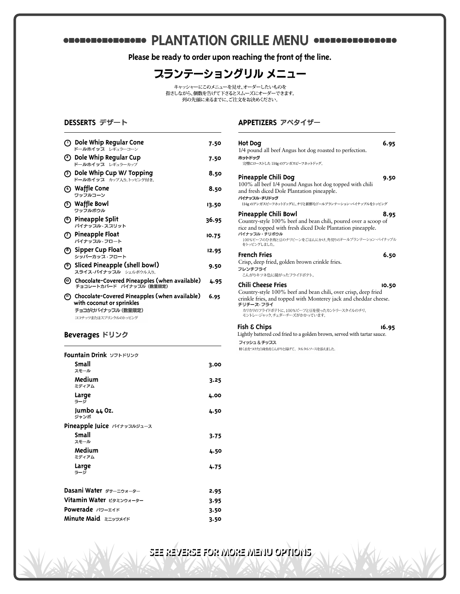# **PLANTATION GRILLE MENU ODDEDIODEDIOIS**

**Please be ready to order upon reaching the front of the line.**



キャッシャーにこのメニューを見せ、オーダーしたいものを 指さしながら、個数を告げて下さるとスムーズにオーダーできます。 。<br>列の先頭に来るまでに、ご注文をお決めください。

### **DESSERTS**

| $\odot$ Dole Whip Regular Cone<br>ドールホイッス レギュラーコーン                                                                           | 7.50  |
|------------------------------------------------------------------------------------------------------------------------------|-------|
| ② Dole Whip Regular Cup<br>ドールホイッフ レギュラーカップ                                                                                  | 7.50  |
| <b>3) Dole Whip Cup W/ Topping</b><br>ドールホイッフ カップ入り トッピング付き。                                                                 | 8.50  |
| ⊙ Waffle Cone<br>ワッフルコーン                                                                                                     | 8.50  |
| (5) Waffle Bowl<br>ワッフルボウル                                                                                                   | 13.50 |
| (6) Pineapple Split<br>パイナップル・スプリット                                                                                          | 36.95 |
| (7) Pineapple Float<br>パイナップル・フロート                                                                                           | 10.75 |
| <b>8</b> Sipper Cup Float<br>シッパーカップ・フロート                                                                                    | 12.95 |
| (9) Sliced Pineapple (shell bowl)<br>スライス・パイナッスル シェルボウル入り。                                                                   | 9.50  |
| © Chocolate-Covered Pineapples (when available)<br>チョコレートカバード パイナッフル (数量限定)                                                  | 4.95  |
| (『) Chocolate-Covered Pineapples (when available)<br>with coconut or sprinkles<br>チョコがけパイナッスル (数量限定)<br>ココナッツまたはスプリンクルのトッピング | 6.95  |

## **Beverages**

| Fountain Drink ソフトドリンク     |      |
|----------------------------|------|
| Small<br>スモール              | 3.00 |
| Medium<br>ミディアム            | 3.25 |
| Large<br>ラージ               | 4.00 |
| Jumbo 44 Oz.<br>ジャンボ       | 4.50 |
| Pineapple Juice パイナッスルジュース |      |
| Small<br>スモール              | 3.75 |
| Medium<br>ミディアム            | 4.50 |
| Large<br>ラージ               | 4.75 |
| Dasani Water ダサーニウォーター     | 2.95 |
| Vitamin Water ビタミンウォーター    |      |
| Powerade パワーエイド            |      |

**Minute Maid 3.50**

### **APPETIZERS**

| Hot Dog<br>1/4 pound all beef Angus hot dog roasted to perfection.<br>ホットドッグ<br>完璧にローストした 114g のアンガスビーフホットドッグ。                                                                                                                                         | 6.95  |
|--------------------------------------------------------------------------------------------------------------------------------------------------------------------------------------------------------------------------------------------------------|-------|
| Pineapple Chili Dog<br>100% all beef 1/4 pound Angus hot dog topped with chili<br>and fresh diced Dole Plantation pineapple.<br>パイナッスル・チリドッグ<br>114g のアンガスビーフホットドッグに、チリと新鮮なドールプランテーション・パイナップルをトッピング                                                    | 9.50  |
| Pineapple Chili Bowl<br>Country-style 100% beef and bean chili, poured over a scoop of<br>rice and topped with fresh diced Dole Plantation pineapple.<br>パイナッスル・チリボウル<br>100%ビーフのひき肉と豆のチリビーンをごはんにかけ、角切りのドールプランテーション・パイナップル<br>をトッピングしました。              | 8.95  |
| <b>French Fries</b><br>Crisp, deep fried, golden brown crinkle fries.<br>フレンチフライ<br>こんがりキツネ色に揚がったフライドポテト。                                                                                                                                              | 6.50  |
| <b>Chili Cheese Fries</b><br>Country-style 100% beef and bean chili, over crisp, deep fried<br>crinkle fries, and topped with Monterey jack and cheddar cheese.<br>チリチース・フライ<br>カリカリのフライドポテトに、100%ビーフと豆を使ったカントリースタイルのチリ、<br>モントレージャック、チェダーチーズがかかっています。 | 10.50 |
| Fish & Chips                                                                                                                                                                                                                                           | 16.95 |

Lightly battered cod fried to a golden brown, served with tartar sauce. フィッシュ & チッスス

軽く衣をつけた白身魚をこんがりと揚げて、タルタルソースを添えました。

**SEE REVERSE FOR MORE MENU OPTIONS**